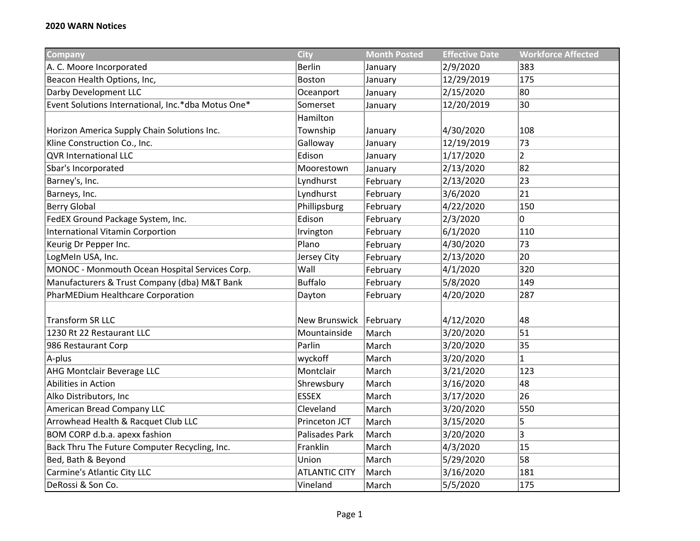| Company                                            | <b>City</b>          | <b>Month Posted</b> | <b>Effective Date</b> | <b>Workforce Affected</b> |
|----------------------------------------------------|----------------------|---------------------|-----------------------|---------------------------|
| A. C. Moore Incorporated                           | <b>Berlin</b>        | January             | 2/9/2020              | 383                       |
| Beacon Health Options, Inc,                        | Boston               | January             | 12/29/2019            | 175                       |
| Darby Development LLC                              | Oceanport            | January             | 2/15/2020             | 80                        |
| Event Solutions International, Inc.*dba Motus One* | Somerset             | January             | 12/20/2019            | 30                        |
|                                                    | Hamilton             |                     |                       |                           |
| Horizon America Supply Chain Solutions Inc.        | Township             | January             | 4/30/2020             | 108                       |
| Kline Construction Co., Inc.                       | Galloway             | January             | 12/19/2019            | 73                        |
| <b>QVR International LLC</b>                       | Edison               | January             | 1/17/2020             | $\overline{2}$            |
| Sbar's Incorporated                                | Moorestown           | January             | 2/13/2020             | 82                        |
| Barney's, Inc.                                     | Lyndhurst            | February            | 2/13/2020             | 23                        |
| Barneys, Inc.                                      | Lyndhurst            | February            | 3/6/2020              | 21                        |
| <b>Berry Global</b>                                | Phillipsburg         | February            | 4/22/2020             | 150                       |
| FedEX Ground Package System, Inc.                  | Edison               | February            | 2/3/2020              | 0                         |
| <b>International Vitamin Corportion</b>            | Irvington            | February            | 6/1/2020              | 110                       |
| Keurig Dr Pepper Inc.                              | Plano                | February            | 4/30/2020             | 73                        |
| LogMeIn USA, Inc.                                  | Jersey City          | February            | 2/13/2020             | 20                        |
| MONOC - Monmouth Ocean Hospital Services Corp.     | Wall                 | February            | 4/1/2020              | 320                       |
| Manufacturers & Trust Company (dba) M&T Bank       | <b>Buffalo</b>       | February            | 5/8/2020              | 149                       |
| PharMEDium Healthcare Corporation                  | Dayton               | February            | 4/20/2020             | 287                       |
|                                                    |                      |                     |                       |                           |
| <b>Transform SR LLC</b>                            | New Brunswick        | February            | 4/12/2020             | 48                        |
| 1230 Rt 22 Restaurant LLC                          | Mountainside         | March               | 3/20/2020             | 51                        |
| 986 Restaurant Corp                                | Parlin               | March               | 3/20/2020             | 35                        |
| A-plus                                             | wyckoff              | March               | 3/20/2020             | $\mathbf{1}$              |
| <b>AHG Montclair Beverage LLC</b>                  | Montclair            | March               | 3/21/2020             | 123                       |
| Abilities in Action                                | Shrewsbury           | March               | 3/16/2020             | 48                        |
| Alko Distributors, Inc                             | <b>ESSEX</b>         | March               | 3/17/2020             | 26                        |
| American Bread Company LLC                         | Cleveland            | March               | 3/20/2020             | 550                       |
| Arrowhead Health & Racquet Club LLC                | Princeton JCT        | March               | 3/15/2020             | 5                         |
| BOM CORP d.b.a. apexx fashion                      | Palisades Park       | March               | 3/20/2020             | 3                         |
| Back Thru The Future Computer Recycling, Inc.      | Franklin             | March               | 4/3/2020              | 15                        |
| Bed, Bath & Beyond                                 | Union                | March               | 5/29/2020             | 58                        |
| Carmine's Atlantic City LLC                        | <b>ATLANTIC CITY</b> | March               | 3/16/2020             | 181                       |
| DeRossi & Son Co.                                  | Vineland             | March               | 5/5/2020              | 175                       |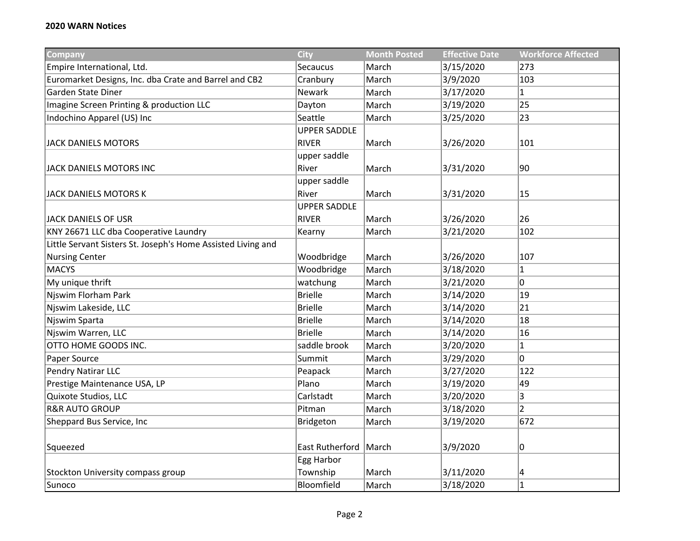| Company                                                      | <b>City</b>         | <b>Month Posted</b> | <b>Effective Date</b> | <b>Workforce Affected</b> |
|--------------------------------------------------------------|---------------------|---------------------|-----------------------|---------------------------|
| Empire International, Ltd.                                   | Secaucus            | March               | 3/15/2020             | 273                       |
| Euromarket Designs, Inc. dba Crate and Barrel and CB2        | Cranbury            | March               | 3/9/2020              | 103                       |
| Garden State Diner                                           | Newark              | March               | 3/17/2020             | $\mathbf{1}$              |
| Imagine Screen Printing & production LLC                     | Dayton              | March               | 3/19/2020             | 25                        |
| Indochino Apparel (US) Inc                                   | Seattle             | March               | 3/25/2020             | 23                        |
|                                                              | <b>UPPER SADDLE</b> |                     |                       |                           |
| <b>JACK DANIELS MOTORS</b>                                   | <b>RIVER</b>        | March               | 3/26/2020             | 101                       |
|                                                              | upper saddle        |                     |                       |                           |
| JACK DANIELS MOTORS INC                                      | River               | March               | 3/31/2020             | 90                        |
|                                                              | upper saddle        |                     |                       |                           |
| JACK DANIELS MOTORS K                                        | River               | March               | 3/31/2020             | 15                        |
|                                                              | <b>UPPER SADDLE</b> |                     |                       |                           |
| <b>JACK DANIELS OF USR</b>                                   | <b>RIVER</b>        | March               | 3/26/2020             | 26                        |
| KNY 26671 LLC dba Cooperative Laundry                        | Kearny              | March               | 3/21/2020             | 102                       |
| Little Servant Sisters St. Joseph's Home Assisted Living and |                     |                     |                       |                           |
| <b>Nursing Center</b>                                        | Woodbridge          | March               | 3/26/2020             | 107                       |
| <b>MACYS</b>                                                 | Woodbridge          | March               | 3/18/2020             | $\mathbf{1}$              |
| My unique thrift                                             | watchung            | March               | 3/21/2020             | 0                         |
| Njswim Florham Park                                          | <b>Brielle</b>      | March               | 3/14/2020             | 19                        |
| Njswim Lakeside, LLC                                         | <b>Brielle</b>      | March               | 3/14/2020             | 21                        |
| Njswim Sparta                                                | <b>Brielle</b>      | March               | 3/14/2020             | 18                        |
| Njswim Warren, LLC                                           | <b>Brielle</b>      | March               | 3/14/2020             | 16                        |
| OTTO HOME GOODS INC.                                         | saddle brook        | March               | 3/20/2020             | $\mathbf{1}$              |
| Paper Source                                                 | Summit              | March               | 3/29/2020             | 0                         |
| Pendry Natirar LLC                                           | Peapack             | March               | 3/27/2020             | 122                       |
| Prestige Maintenance USA, LP                                 | Plano               | March               | 3/19/2020             | 49                        |
| Quixote Studios, LLC                                         | Carlstadt           | March               | 3/20/2020             | 3                         |
| <b>R&amp;R AUTO GROUP</b>                                    | Pitman              | March               | 3/18/2020             | $\overline{2}$            |
| Sheppard Bus Service, Inc                                    | Bridgeton           | March               | 3/19/2020             | 672                       |
|                                                              |                     |                     |                       |                           |
| Squeezed                                                     | East Rutherford     | March               | 3/9/2020              | 0                         |
|                                                              | Egg Harbor          |                     |                       |                           |
| Stockton University compass group                            | Township            | March               | 3/11/2020             | 4                         |
| Sunoco                                                       | Bloomfield          | March               | 3/18/2020             | $\mathbf{1}$              |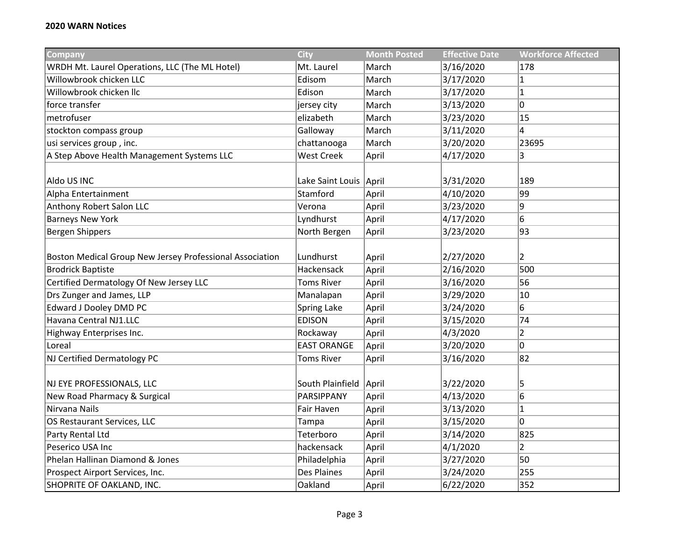| Company                                                  | <b>City</b>              | <b>Month Posted</b> | <b>Effective Date</b> | <b>Workforce Affected</b> |
|----------------------------------------------------------|--------------------------|---------------------|-----------------------|---------------------------|
| WRDH Mt. Laurel Operations, LLC (The ML Hotel)           | Mt. Laurel               | March               | 3/16/2020             | 178                       |
| Willowbrook chicken LLC                                  | Edisom                   | March               | 3/17/2020             | $\mathbf{1}$              |
| Willowbrook chicken Ilc                                  | Edison                   | March               | 3/17/2020             | $\mathbf{1}$              |
| force transfer                                           | jersey city              | March               | 3/13/2020             | 0                         |
| metrofuser                                               | elizabeth                | March               | 3/23/2020             | 15                        |
| stockton compass group                                   | Galloway                 | March               | 3/11/2020             | $\overline{\mathbf{4}}$   |
| usi services group, inc.                                 | chattanooga              | March               | 3/20/2020             | 23695                     |
| A Step Above Health Management Systems LLC               | <b>West Creek</b>        | April               | 4/17/2020             | 3                         |
|                                                          |                          |                     |                       |                           |
| Aldo US INC                                              | Lake Saint Louis April   |                     | 3/31/2020             | 189                       |
| Alpha Entertainment                                      | Stamford                 | April               | 4/10/2020             | 99                        |
| Anthony Robert Salon LLC                                 | Verona                   | April               | 3/23/2020             | 9                         |
| <b>Barneys New York</b>                                  | Lyndhurst                | April               | 4/17/2020             | 6                         |
| <b>Bergen Shippers</b>                                   | North Bergen             | April               | 3/23/2020             | 93                        |
|                                                          |                          |                     |                       |                           |
| Boston Medical Group New Jersey Professional Association | Lundhurst                | April               | 2/27/2020             | $\overline{2}$            |
| <b>Brodrick Baptiste</b>                                 | Hackensack               | April               | 2/16/2020             | 500                       |
| Certified Dermatology Of New Jersey LLC                  | <b>Toms River</b>        | April               | 3/16/2020             | 56                        |
| Drs Zunger and James, LLP                                | Manalapan                | April               | 3/29/2020             | 10                        |
| Edward J Dooley DMD PC                                   | <b>Spring Lake</b>       | April               | 3/24/2020             | 6                         |
| Havana Central NJ1.LLC                                   | <b>EDISON</b>            | April               | 3/15/2020             | 74                        |
| Highway Enterprises Inc.                                 | Rockaway                 | April               | 4/3/2020              | $\overline{2}$            |
| Loreal                                                   | <b>EAST ORANGE</b>       | April               | 3/20/2020             | 0                         |
| NJ Certified Dermatology PC                              | <b>Toms River</b>        | April               | 3/16/2020             | 82                        |
|                                                          |                          |                     |                       |                           |
| NJ EYE PROFESSIONALS, LLC                                | South Plainfield   April |                     | 3/22/2020             | 5                         |
| New Road Pharmacy & Surgical                             | PARSIPPANY               | April               | 4/13/2020             | 6                         |
| Nirvana Nails                                            | Fair Haven               | April               | 3/13/2020             | $\mathbf{1}$              |
| OS Restaurant Services, LLC                              | Tampa                    | April               | 3/15/2020             | 0                         |
| Party Rental Ltd                                         | Teterboro                | April               | 3/14/2020             | 825                       |
| Peserico USA Inc                                         | hackensack               | April               | 4/1/2020              | $\overline{2}$            |
| Phelan Hallinan Diamond & Jones                          | Philadelphia             | April               | 3/27/2020             | 50                        |
| Prospect Airport Services, Inc.                          | Des Plaines              | April               | 3/24/2020             | 255                       |
| SHOPRITE OF OAKLAND, INC.                                | Oakland                  | April               | 6/22/2020             | 352                       |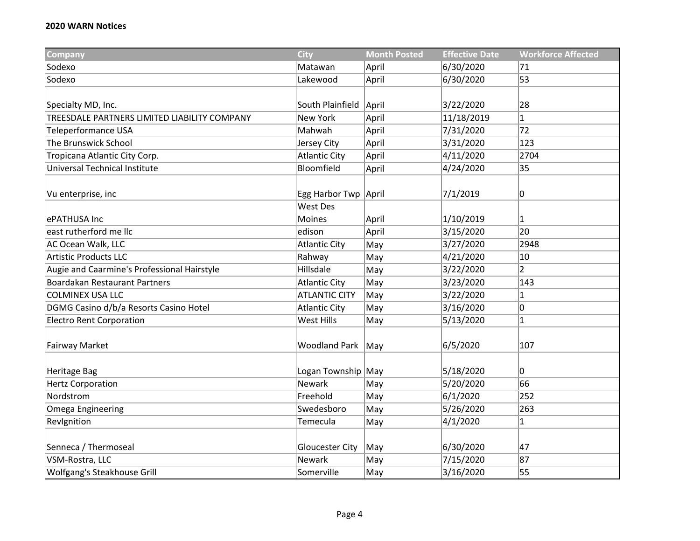| <b>Company</b>                               | City                 | <b>Month Posted</b> | <b>Effective Date</b> | <b>Workforce Affected</b> |
|----------------------------------------------|----------------------|---------------------|-----------------------|---------------------------|
| Sodexo                                       | Matawan              | April               | 6/30/2020             | 71                        |
| Sodexo                                       | Lakewood             | April               | 6/30/2020             | 53                        |
|                                              |                      |                     |                       |                           |
| Specialty MD, Inc.                           | South Plainfield     | April               | 3/22/2020             | 28                        |
| TREESDALE PARTNERS LIMITED LIABILITY COMPANY | New York             | April               | 11/18/2019            | $\mathbf{1}$              |
| Teleperformance USA                          | Mahwah               | April               | 7/31/2020             | 72                        |
| The Brunswick School                         | Jersey City          | April               | 3/31/2020             | 123                       |
| Tropicana Atlantic City Corp.                | <b>Atlantic City</b> | April               | 4/11/2020             | 2704                      |
| Universal Technical Institute                | Bloomfield           | April               | 4/24/2020             | 35                        |
|                                              |                      |                     |                       |                           |
| Vu enterprise, inc                           | Egg Harbor Twp April |                     | 7/1/2019              | 0                         |
|                                              | West Des             |                     |                       |                           |
| ePATHUSA Inc                                 | <b>Moines</b>        | April               | 1/10/2019             | $\mathbf{1}$              |
| east rutherford me llc                       | edison               | April               | 3/15/2020             | 20                        |
| AC Ocean Walk, LLC                           | <b>Atlantic City</b> | May                 | 3/27/2020             | 2948                      |
| <b>Artistic Products LLC</b>                 | Rahway               | May                 | 4/21/2020             | 10                        |
| Augie and Caarmine's Professional Hairstyle  | Hillsdale            | May                 | 3/22/2020             | $\overline{2}$            |
| <b>Boardakan Restaurant Partners</b>         | <b>Atlantic City</b> | May                 | 3/23/2020             | 143                       |
| <b>COLMINEX USA LLC</b>                      | <b>ATLANTIC CITY</b> | May                 | 3/22/2020             | $\mathbf{1}$              |
| DGMG Casino d/b/a Resorts Casino Hotel       | <b>Atlantic City</b> | May                 | 3/16/2020             | 0                         |
| <b>Electro Rent Corporation</b>              | West Hills           | May                 | 5/13/2020             | $\mathbf{1}$              |
|                                              |                      |                     |                       |                           |
| Fairway Market                               | <b>Woodland Park</b> | May                 | 6/5/2020              | 107                       |
|                                              |                      |                     |                       |                           |
| <b>Heritage Bag</b>                          | Logan Township May   |                     | 5/18/2020             | 0                         |
| <b>Hertz Corporation</b>                     | Newark               | May                 | 5/20/2020             | 66                        |
| Nordstrom                                    | Freehold             | May                 | 6/1/2020              | 252                       |
| <b>Omega Engineering</b>                     | Swedesboro           | May                 | 5/26/2020             | 263                       |
| Revignition                                  | Temecula             | May                 | 4/1/2020              | $\mathbf{1}$              |
|                                              |                      |                     |                       |                           |
| Senneca / Thermoseal                         | Gloucester City      | May                 | 6/30/2020             | 47                        |
| VSM-Rostra, LLC                              | Newark               | May                 | 7/15/2020             | 87                        |
| Wolfgang's Steakhouse Grill                  | Somerville           | May                 | 3/16/2020             | 55                        |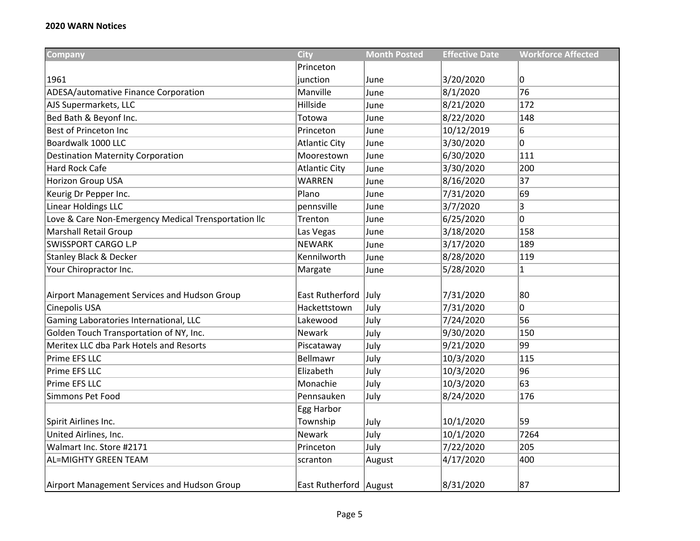| <b>Company</b>                                       | <b>City</b>              | <b>Month Posted</b> | <b>Effective Date</b> | <b>Workforce Affected</b> |
|------------------------------------------------------|--------------------------|---------------------|-----------------------|---------------------------|
|                                                      | Princeton                |                     |                       |                           |
| 1961                                                 | junction                 | June                | 3/20/2020             | 0                         |
| ADESA/automative Finance Corporation                 | Manville                 | June                | 8/1/2020              | 76                        |
| AJS Supermarkets, LLC                                | Hillside                 | June                | 8/21/2020             | 172                       |
| Bed Bath & Beyonf Inc.                               | Totowa                   | June                | 8/22/2020             | 148                       |
| Best of Princeton Inc                                | Princeton                | June                | 10/12/2019            | 6                         |
| Boardwalk 1000 LLC                                   | <b>Atlantic City</b>     | June                | 3/30/2020             | 0                         |
| <b>Destination Maternity Corporation</b>             | Moorestown               | June                | 6/30/2020             | 111                       |
| <b>Hard Rock Cafe</b>                                | <b>Atlantic City</b>     | June                | 3/30/2020             | 200                       |
| Horizon Group USA                                    | WARREN                   | June                | 8/16/2020             | 37                        |
| Keurig Dr Pepper Inc.                                | Plano                    | June                | 7/31/2020             | 69                        |
| Linear Holdings LLC                                  | pennsville               | June                | 3/7/2020              | 3                         |
| Love & Care Non-Emergency Medical Trensportation IIc | Trenton                  | June                | 6/25/2020             | 0                         |
| <b>Marshall Retail Group</b>                         | Las Vegas                | June                | 3/18/2020             | 158                       |
| <b>SWISSPORT CARGO L.P</b>                           | <b>NEWARK</b>            | June                | 3/17/2020             | 189                       |
| <b>Stanley Black &amp; Decker</b>                    | Kennilworth              | June                | 8/28/2020             | 119                       |
| Your Chiropractor Inc.                               | Margate                  | June                | 5/28/2020             | $\mathbf{1}$              |
|                                                      |                          |                     |                       |                           |
| Airport Management Services and Hudson Group         | East Rutherford          | July                | 7/31/2020             | 80                        |
| Cinepolis USA                                        | Hackettstown             | July                | 7/31/2020             | 0                         |
| Gaming Laboratories International, LLC               | Lakewood                 | July                | 7/24/2020             | 56                        |
| Golden Touch Transportation of NY, Inc.              | Newark                   | July                | 9/30/2020             | 150                       |
| Meritex LLC dba Park Hotels and Resorts              | Piscataway               | July                | 9/21/2020             | 99                        |
| Prime EFS LLC                                        | Bellmawr                 | July                | 10/3/2020             | 115                       |
| Prime EFS LLC                                        | Elizabeth                | July                | 10/3/2020             | 96                        |
| Prime EFS LLC                                        | Monachie                 | July                | 10/3/2020             | 63                        |
| Simmons Pet Food                                     | Pennsauken               | July                | 8/24/2020             | 176                       |
|                                                      | Egg Harbor               |                     |                       |                           |
| Spirit Airlines Inc.                                 | Township                 | July                | 10/1/2020             | 59                        |
| United Airlines, Inc.                                | Newark                   | July                | 10/1/2020             | 7264                      |
| Walmart Inc. Store #2171                             | Princeton                | July                | 7/22/2020             | 205                       |
| <b>AL=MIGHTY GREEN TEAM</b>                          | scranton                 | August              | 4/17/2020             | 400                       |
|                                                      |                          |                     |                       |                           |
| Airport Management Services and Hudson Group         | East Rutherford   August |                     | 8/31/2020             | 87                        |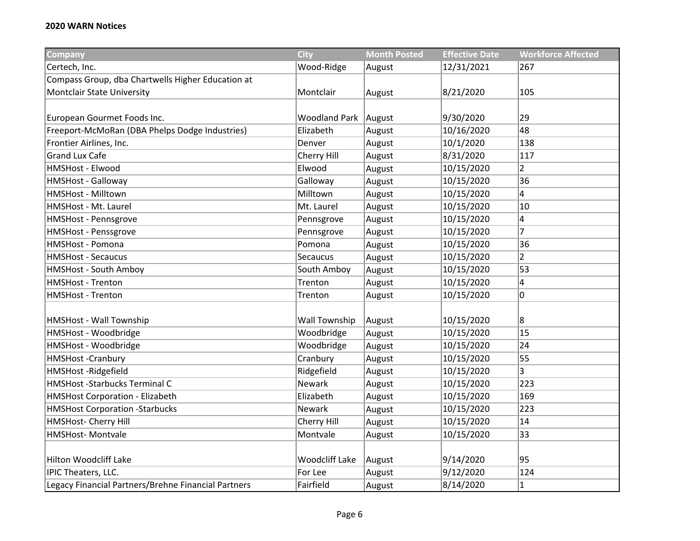| <b>Company</b>                                      | <b>City</b>           | <b>Month Posted</b> | <b>Effective Date</b> | <b>Workforce Affected</b> |
|-----------------------------------------------------|-----------------------|---------------------|-----------------------|---------------------------|
| Certech, Inc.                                       | Wood-Ridge            | August              | 12/31/2021            | 267                       |
| Compass Group, dba Chartwells Higher Education at   |                       |                     |                       |                           |
| <b>Montclair State University</b>                   | Montclair             | August              | 8/21/2020             | 105                       |
|                                                     |                       |                     |                       |                           |
| European Gourmet Foods Inc.                         | <b>Woodland Park</b>  | August              | 9/30/2020             | 29                        |
| Freeport-McMoRan (DBA Phelps Dodge Industries)      | Elizabeth             | August              | 10/16/2020            | 48                        |
| Frontier Airlines, Inc.                             | Denver                | August              | 10/1/2020             | 138                       |
| <b>Grand Lux Cafe</b>                               | Cherry Hill           | August              | 8/31/2020             | 117                       |
| HMSHost - Elwood                                    | Elwood                | August              | 10/15/2020            | $\overline{2}$            |
| <b>HMSHost - Galloway</b>                           | Galloway              | August              | 10/15/2020            | 36                        |
| HMSHost - Milltown                                  | Milltown              | August              | 10/15/2020            | 4                         |
| HMSHost - Mt. Laurel                                | Mt. Laurel            | August              | 10/15/2020            | 10                        |
| HMSHost - Pennsgrove                                | Pennsgrove            | August              | 10/15/2020            | 4                         |
| HMSHost - Penssgrove                                | Pennsgrove            | August              | 10/15/2020            | $\overline{7}$            |
| <b>HMSHost - Pomona</b>                             | Pomona                | August              | 10/15/2020            | 36                        |
| <b>HMSHost - Secaucus</b>                           | Secaucus              | August              | 10/15/2020            | $\overline{2}$            |
| HMSHost - South Amboy                               | South Amboy           | August              | 10/15/2020            | 53                        |
| <b>HMSHost - Trenton</b>                            | Trenton               | August              | 10/15/2020            | 4                         |
| <b>HMSHost - Trenton</b>                            | Trenton               | August              | 10/15/2020            | 0                         |
|                                                     |                       |                     |                       |                           |
| <b>HMSHost - Wall Township</b>                      | Wall Township         | August              | 10/15/2020            | 8                         |
| HMSHost - Woodbridge                                | Woodbridge            | August              | 10/15/2020            | 15                        |
| HMSHost - Woodbridge                                | Woodbridge            | August              | 10/15/2020            | 24                        |
| <b>HMSHost-Cranbury</b>                             | Cranbury              | August              | 10/15/2020            | 55                        |
| HMSHost -Ridgefield                                 | Ridgefield            | August              | 10/15/2020            | $\overline{3}$            |
| HMSHost -Starbucks Terminal C                       | Newark                | August              | 10/15/2020            | 223                       |
| <b>HMSHost Corporation - Elizabeth</b>              | Elizabeth             | August              | 10/15/2020            | 169                       |
| <b>HMSHost Corporation -Starbucks</b>               | <b>Newark</b>         | August              | 10/15/2020            | 223                       |
| HMSHost- Cherry Hill                                | Cherry Hill           | August              | 10/15/2020            | 14                        |
| <b>HMSHost-Montvale</b>                             | Montvale              | August              | 10/15/2020            | 33                        |
|                                                     |                       |                     |                       |                           |
| <b>Hilton Woodcliff Lake</b>                        | <b>Woodcliff Lake</b> | August              | 9/14/2020             | 95                        |
| IPIC Theaters, LLC.                                 | For Lee               | August              | 9/12/2020             | 124                       |
| Legacy Financial Partners/Brehne Financial Partners | Fairfield             | August              | 8/14/2020             | $\mathbf{1}$              |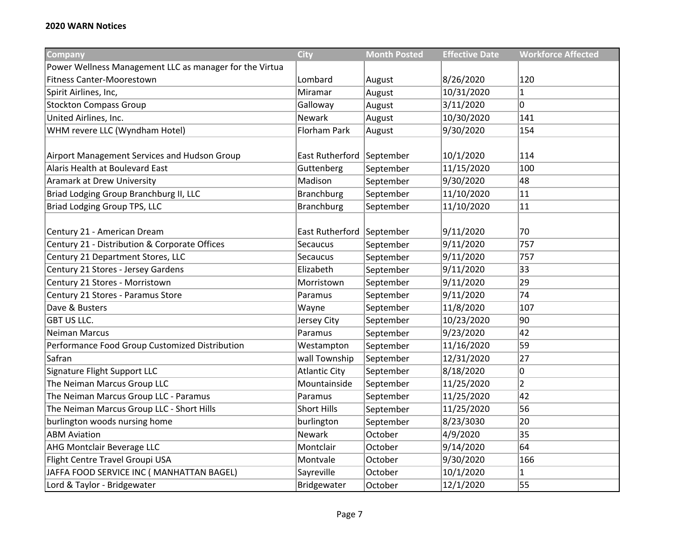## **2020 WARN Notices**

| <b>Company</b>                                          | <b>City</b>               | <b>Month Posted</b> | <b>Effective Date</b> | <b>Workforce Affected</b> |
|---------------------------------------------------------|---------------------------|---------------------|-----------------------|---------------------------|
| Power Wellness Management LLC as manager for the Virtua |                           |                     |                       |                           |
| <b>Fitness Canter-Moorestown</b>                        | Lombard                   | August              | 8/26/2020             | 120                       |
| Spirit Airlines, Inc,                                   | Miramar                   | August              | 10/31/2020            | $\mathbf{1}$              |
| <b>Stockton Compass Group</b>                           | Galloway                  | August              | 3/11/2020             | $\mathbf 0$               |
| United Airlines, Inc.                                   | Newark                    | August              | 10/30/2020            | 141                       |
| WHM revere LLC (Wyndham Hotel)                          | Florham Park              | August              | 9/30/2020             | 154                       |
| Airport Management Services and Hudson Group            | East Rutherford September |                     | 10/1/2020             | 114                       |
| Alaris Health at Boulevard East                         | Guttenberg                | September           | 11/15/2020            | 100                       |
| <b>Aramark at Drew University</b>                       | Madison                   | September           | 9/30/2020             | 48                        |
| Briad Lodging Group Branchburg II, LLC                  | <b>Branchburg</b>         | September           | 11/10/2020            | 11                        |
| Briad Lodging Group TPS, LLC                            | <b>Branchburg</b>         | September           | 11/10/2020            | 11                        |
| Century 21 - American Dream                             | East Rutherford September |                     | 9/11/2020             | 70                        |
| Century 21 - Distribution & Corporate Offices           | Secaucus                  | September           | 9/11/2020             | 757                       |
| Century 21 Department Stores, LLC                       | Secaucus                  | September           | 9/11/2020             | 757                       |
| Century 21 Stores - Jersey Gardens                      | Elizabeth                 | September           | 9/11/2020             | 33                        |
| Century 21 Stores - Morristown                          | Morristown                | September           | 9/11/2020             | 29                        |
| Century 21 Stores - Paramus Store                       | Paramus                   | September           | 9/11/2020             | 74                        |
| Dave & Busters                                          | Wayne                     | September           | 11/8/2020             | 107                       |
| <b>GBT US LLC.</b>                                      | Jersey City               | September           | 10/23/2020            | 90                        |
| <b>Neiman Marcus</b>                                    | Paramus                   | September           | 9/23/2020             | 42                        |
| Performance Food Group Customized Distribution          | Westampton                | September           | 11/16/2020            | 59                        |
| Safran                                                  | wall Township             | September           | 12/31/2020            | 27                        |
| Signature Flight Support LLC                            | <b>Atlantic City</b>      | September           | 8/18/2020             | $\mathbf 0$               |
| The Neiman Marcus Group LLC                             | Mountainside              | September           | 11/25/2020            | $\overline{2}$            |
| The Neiman Marcus Group LLC - Paramus                   | Paramus                   | September           | 11/25/2020            | 42                        |
| The Neiman Marcus Group LLC - Short Hills               | <b>Short Hills</b>        | September           | 11/25/2020            | 56                        |
| burlington woods nursing home                           | burlington                | September           | 8/23/3030             | 20                        |
| <b>ABM Aviation</b>                                     | Newark                    | October             | 4/9/2020              | 35                        |
| <b>AHG Montclair Beverage LLC</b>                       | Montclair                 | October             | 9/14/2020             | 64                        |
| Flight Centre Travel Groupi USA                         | Montvale                  | October             | 9/30/2020             | 166                       |
| JAFFA FOOD SERVICE INC ( MANHATTAN BAGEL)               | Sayreville                | October             | 10/1/2020             | $\mathbf 1$               |
| Lord & Taylor - Bridgewater                             | Bridgewater               | October             | 12/1/2020             | 55                        |